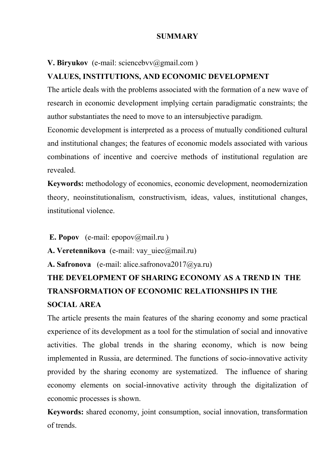# **SUMMARY**

# **V. Biryukov** (e-mail: sciencebvv@gmail.com)

# **VALUES, INSTITUTIONS, AND ECONOMIC DEVELOPMENT**

The article deals with the problems associated with the formation of a new wave of research in economic development implying certain paradigmatic constraints; the author substantiates the need to move to an intersubjective paradigm.

Economic development is interpreted as a process of mutually conditioned cultural and institutional changes; the features of economic models associated with various combinations of incentive and coercive methods of institutional regulation are revealed.

**Keywords:** methodology of economics, economic development, neomodernization theory, neoinstitutionalism, constructivism, ideas, values, institutional changes, institutional violence.

**E. Popov** (e-mail: epopov@mail.ru)

**A. Veretennikova** (e-mail: vay uiec@mail.ru)

**A. Safronova** (e-mail: alice.safronova2017@ya.ru)

# **THE DEVELOPMENT OF SHARING ECONOMY AS A TREND IN THE TRANSFORMATION OF ECONOMIC RELATIONSHIPS IN THE SOCIAL AREA**

The article presents the main features of the sharing economy and some practical experience of its development as a tool for the stimulation of social and innovative activities. The global trends in the sharing economy, which is now being implemented in Russia, are determined. The functions of socio-innovative activity provided by the sharing economy are systematized. The influence of sharing economy elements on social-innovative activity through the digitalization of economic processes is shown.

**Keywords:** shared economy, joint consumption, social innovation, transformation of trends.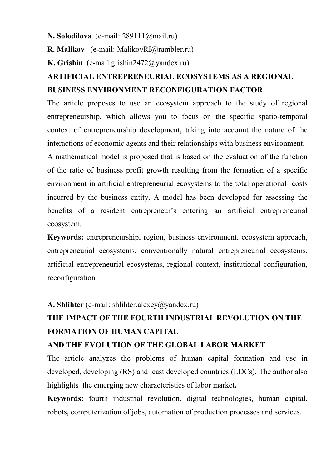#### **N. Solodilova** (e-mail: 289111@mail.ru)

**R. Malikov** (e-mail: MalikovRI@rambler.ru)

**K. Grishin** (e-mail grishin2472@yandex.ru)

# **ARTIFICIAL ENTREPRENEURIAL ECOSYSTEMS AS A REGIONAL BUSINESS ENVIRONMENT RECONFIGURATION FACTOR**

The article proposes to use an ecosystem approach to the study of regional entrepreneurship, which allows you to focus on the specific spatio-temporal context of entrepreneurship development, taking into account the nature of the interactions of economic agents and their relationships with business environment.

A mathematical model is proposed that is based on the evaluation of the function of the ratio of business profit growth resulting from the formation of a specific environment in artificial entrepreneurial ecosystems to the total operational costs incurred by the business entity. A model has been developed for assessing the benefits of a resident entrepreneur's entering an artificial entrepreneurial ecosystem.

**Keywords:** entrepreneurship, region, business environment, ecosystem approach, entrepreneurial ecosystems, conventionally natural entrepreneurial ecosystems, artificial entrepreneurial ecosystems, regional context, institutional configuration, reconfiguration.

## **A. Shlihter** (e-mail: shlihter.alexey@yandex.ru)

# **THE IMPACT OF THE FOURTH INDUSTRIAL REVOLUTION ON THE FORMATION OF HUMAN CAPITAL**

# **AND THE EVOLUTION OF THE GLOBAL LABOR MARKET**

The article analyzes the problems of human capital formation and use in developed, developing (RS) and least developed countries (LDCs). The author also highlights the emerging new characteristics of labor market**.**

**Keywords:** fourth industrial revolution, digital technologies, human capital, robots, computerization of jobs, automation of production processes and services.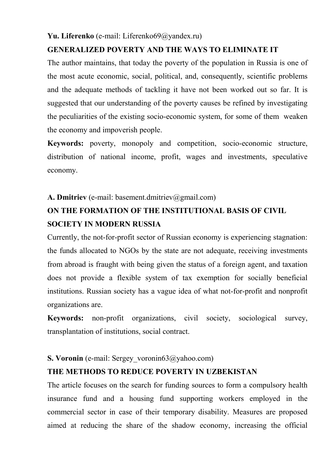#### **Yu. Liferenko** (e-mail: Liferenko69@yandex.ru)

# **GENERALIZED POVERTY AND THE WAYS TO ELIMINATE IT**

The author maintains, that today the poverty of the population in Russia is one of the most acute economic, social, political, and, consequently, scientific problems and the adequate methods of tackling it have not been worked out so far. It is suggested that our understanding of the poverty causes be refined by investigating the peculiarities of the existing socio-economic system, for some of them weaken the economy and impoverish people.

**Keywords:** poverty, monopoly and competition, socio-economic structure, distribution of national income, profit, wages and investments, speculative economy.

## **A. Dmitriev** (e-mail: basement.dmitriev@gmail.com)

# **ON THE FORMATION OF THE INSTITUTIONAL BASIS OF CIVIL SOCIETY IN MODERN RUSSIA**

Currently, the not-for-profit sector of Russian economy is experiencing stagnation: the funds allocated to NGOs by the state are not adequate, receiving investments from abroad is fraught with being given the status of a foreign agent, and taxation does not provide a flexible system of tax exemption for socially beneficial institutions. Russian society has a vague idea of what not-for-profit and nonprofit organizations are.

**Keywords:** non-profit organizations, civil society, sociological survey, transplantation of institutions, social contract.

#### **S. Voronin** (e-mail: Sergey voronin63@yahoo.com)

## **THE METHODS TO REDUCE POVERTY IN UZBEKISTAN**

The article focuses on the search for funding sources to form a compulsory health insurance fund and a housing fund supporting workers employed in the commercial sector in case of their temporary disability. Measures are proposed aimed at reducing the share of the shadow economy, increasing the official